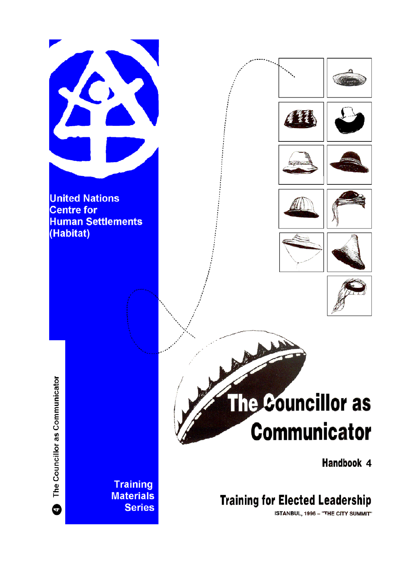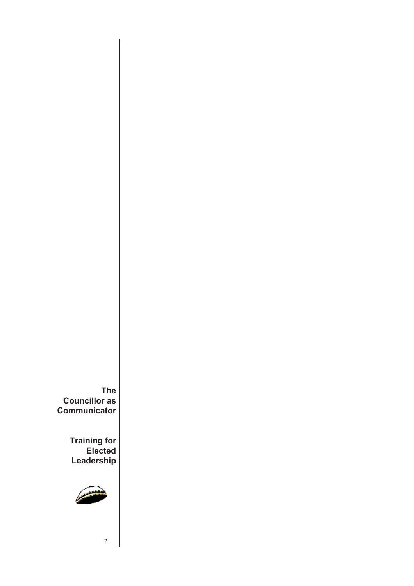**The Councillor as Communicator**

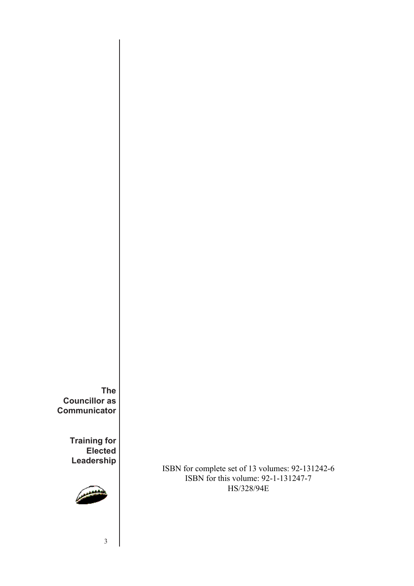**The Councillor as Communicator**

> **Training for Elected Leadership**



ISBN for complete set of 13 volumes: 92-131242-6 ISBN for this volume: 92-1-131247-7 HS/328/94E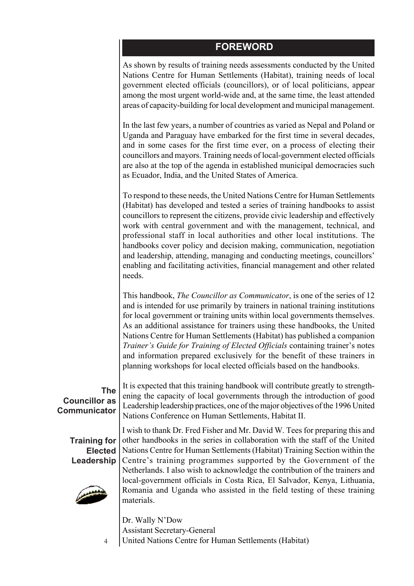### **FOREWORD**

As shown by results of training needs assessments conducted by the United Nations Centre for Human Settlements (Habitat), training needs of local government elected officials (councillors), or of local politicians, appear among the most urgent world-wide and, at the same time, the least attended areas of capacity-building for local development and municipal management.

In the last few years, a number of countries as varied as Nepal and Poland or Uganda and Paraguay have embarked for the first time in several decades, and in some cases for the first time ever, on a process of electing their councillors and mayors. Training needs of local-government elected officials are also at the top of the agenda in established municipal democracies such as Ecuador, India, and the United States of America.

To respond to these needs, the United Nations Centre for Human Settlements (Habitat) has developed and tested a series of training handbooks to assist councillors to represent the citizens, provide civic leadership and effectively work with central government and with the management, technical, and professional staff in local authorities and other local institutions. The handbooks cover policy and decision making, communication, negotiation and leadership, attending, managing and conducting meetings, councillors' enabling and facilitating activities, financial management and other related needs.

This handbook, *The Councillor as Communicator*, is one of the series of 12 and is intended for use primarily by trainers in national training institutions for local government or training units within local governments themselves. As an additional assistance for trainers using these handbooks, the United Nations Centre for Human Settlements (Habitat) has published a companion *Trainer's Guide for Training of Elected Officials* containing trainer's notes and information prepared exclusively for the benefit of these trainers in planning workshops for local elected officials based on the handbooks.

### **The Councillor as Communicator**

**Training for Elected Leadership**

It is expected that this training handbook will contribute greatly to strengthening the capacity of local governments through the introduction of good Leadership leadership practices, one of the major objectives of the 1996 United Nations Conference on Human Settlements, Habitat II.

I wish to thank Dr. Fred Fisher and Mr. David W. Tees for preparing this and other handbooks in the series in collaboration with the staff of the United

Nations Centre for Human Settlements (Habitat) Training Section within the Centre's training programmes supported by the Government of the Netherlands. I also wish to acknowledge the contribution of the trainers and local-government officials in Costa Rica, El Salvador, Kenya, Lithuania, Romania and Uganda who assisted in the field testing of these training materials.

Dr. Wally N'Dow Assistant Secretary-General United Nations Centre for Human Settlements (Habitat)

4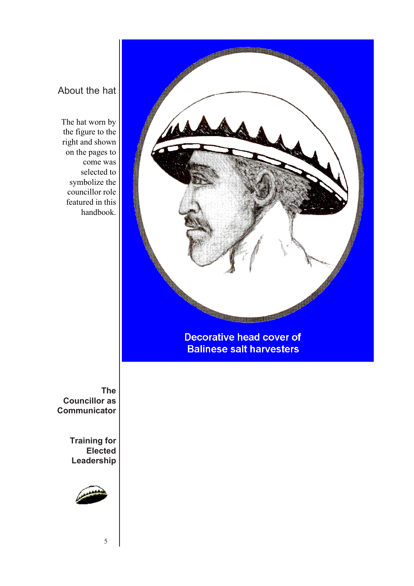### About the hat

The hat worn by the figure to the right and shown on the pages to come was selected to symbolize the councillor role featured in this handbook.



**Balinese salt harvesters** 

**The Councillor as Communicator**

> **Training for Elected Leadership**



5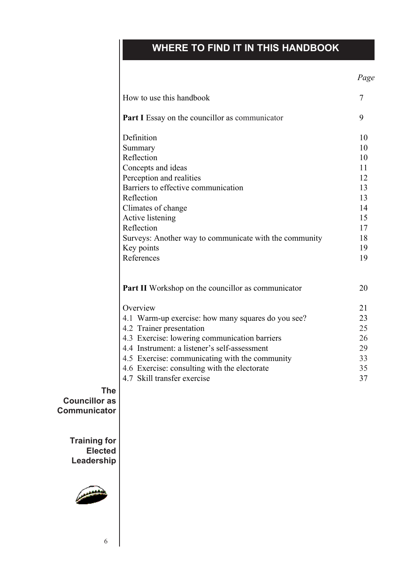## **WHERE TO FIND IT IN THIS HANDBOOK**

|                                                           | Page |
|-----------------------------------------------------------|------|
| How to use this handbook                                  | 7    |
| <b>Part I</b> Essay on the councillor as communicator     | 9    |
| Definition                                                | 10   |
| Summary                                                   | 10   |
| Reflection                                                | 10   |
| Concepts and ideas                                        | 11   |
| Perception and realities                                  | 12   |
| Barriers to effective communication                       | 13   |
| Reflection                                                | 13   |
| Climates of change                                        | 14   |
| Active listening                                          | 15   |
| Reflection                                                | 17   |
| Surveys: Another way to communicate with the community    | 18   |
| Key points                                                | 19   |
| References                                                | 19   |
| <b>Part II</b> Workshop on the councillor as communicator | 20   |
| Overview                                                  | 21   |
| 4.1 Warm-up exercise: how many squares do you see?        | 23   |
| 4.2 Trainer presentation                                  | 25   |
| 4.3 Exercise: lowering communication barriers             | 26   |
| 4.4 Instrument: a listener's self-assessment              | 29   |
| 4.5 Exercise: communicating with the community            | 33   |
| 4.6 Exercise: consulting with the electorate              | 35   |
| 4.7 Skill transfer exercise                               | 37   |
|                                                           |      |

**The Councillor as Communicator**

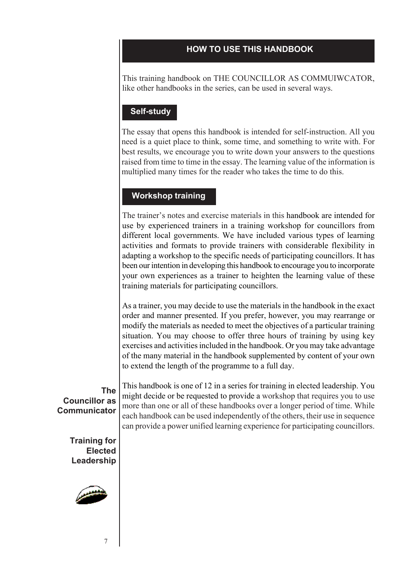### **HOW TO USE THIS HANDBOOK**

This training handbook on THE COUNCILLOR AS COMMUIWCATOR, like other handbooks in the series, can be used in several ways.

### **Self-study**

The essay that opens this handbook is intended for self-instruction. All you need is a quiet place to think, some time, and something to write with. For best results, we encourage you to write down your answers to the questions raised from time to time in the essay. The learning value of the information is multiplied many times for the reader who takes the time to do this.

### **Workshop training**

The trainer's notes and exercise materials in this handbook are intended for use by experienced trainers in a training workshop for councillors from different local governments. We have included various types of learning activities and formats to provide trainers with considerable flexibility in adapting a workshop to the specific needs of participating councillors. It has been our intention in developing this handbook to encourage you to incorporate your own experiences as a trainer to heighten the learning value of these training materials for participating councillors.

As a trainer, you may decide to use the materials in the handbook in the exact order and manner presented. If you prefer, however, you may rearrange or modify the materials as needed to meet the objectives of a particular training situation. You may choose to offer three hours of training by using key exercises and activities included in the handbook. Or you may take advantage of the many material in the handbook supplemented by content of your own to extend the length of the programme to a full day.

**The Councillor as Communicator** This handbook is one of 12 in a series for training in elected leadership. You might decide or be requested to provide a workshop that requires you to use more than one or all of these handbooks over a longer period of time. While each handbook can be used independently of the others, their use in sequence can provide a power unified learning experience for participating councillors.

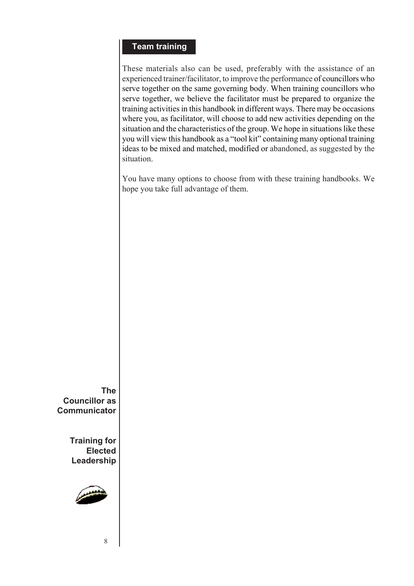### **Team training**

These materials also can be used, preferably with the assistance of an experienced trainer/facilitator, to improve the performance of councillors who serve together on the same governing body. When training councillors who serve together, we believe the facilitator must be prepared to organize the training activities in this handbook in different ways. There may be occasions where you, as facilitator, will choose to add new activities depending on the situation and the characteristics of the group. We hope in situations like these you will view this handbook as a "tool kit" containing many optional training ideas to be mixed and matched, modified or abandoned, as suggested by the situation.

You have many options to choose from with these training handbooks. We hope you take full advantage of them.

**The Councillor as Communicator**

> **Training for Elected Leadership**



8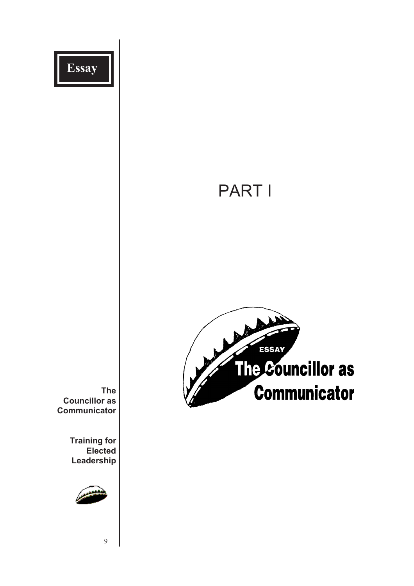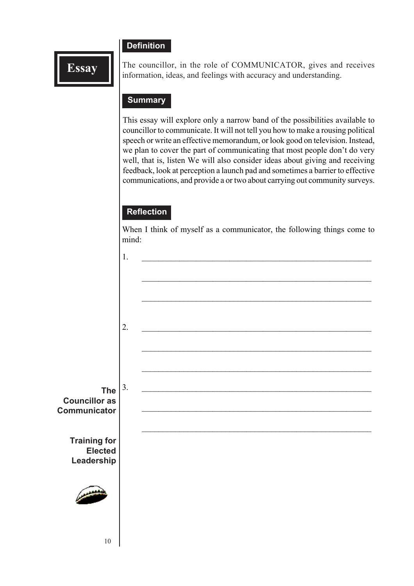### **Definition**

**Essay**

The councillor, in the role of COMMUNICATOR, gives and receives information, ideas, and feelings with accuracy and understanding.

### **Summary**

This essay will explore only a narrow band of the possibilities available to councillor to communicate. It will not tell you how to make a rousing political speech or write an effective memorandum, or look good on television. Instead, we plan to cover the part of communicating that most people don't do very well, that is, listen We will also consider ideas about giving and receiving feedback, look at perception a launch pad and sometimes a barrier to effective communications, and provide a or two about carrying out community surveys.

### **Reflection**

When I think of myself as a communicator, the following things come to mind:

|                                      | $\mathbf{1}$ . |  |  |  |
|--------------------------------------|----------------|--|--|--|
|                                      |                |  |  |  |
|                                      |                |  |  |  |
|                                      |                |  |  |  |
|                                      | 2.             |  |  |  |
|                                      |                |  |  |  |
|                                      |                |  |  |  |
|                                      |                |  |  |  |
| <b>The</b>                           | 3.             |  |  |  |
| <b>Councillor as</b><br>Communicator |                |  |  |  |
|                                      |                |  |  |  |
| <b>Training for</b>                  |                |  |  |  |
| <b>Elected</b><br>Leadership         |                |  |  |  |
|                                      |                |  |  |  |
|                                      |                |  |  |  |
|                                      |                |  |  |  |
| 10                                   |                |  |  |  |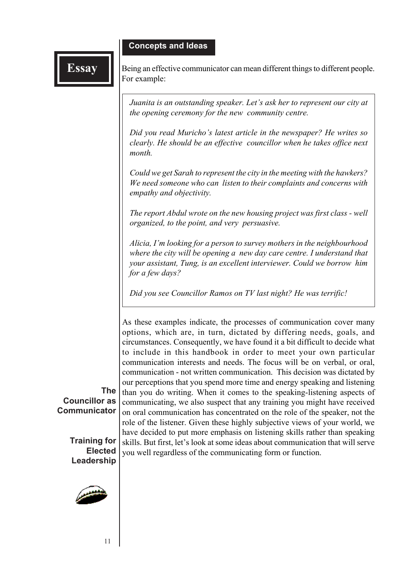### **Concepts and Ideas**

## **Essay**

Being an effective communicator can mean different things to different people. For example:

*Juanita is an outstanding speaker. Let's ask her to represent our city at the opening ceremony for the new community centre.*

*Did you read Muricho's latest article in the newspaper? He writes so clearly. He should be an effective councillor when he takes office next month.*

*Could we get Sarah to represent the city in the meeting with the hawkers? We need someone who can listen to their complaints and concerns with empathy and objectivity.*

*The report Abdul wrote on the new housing project was first class - well organized, to the point, and very persuasive.*

*Alicia, I'm looking for a person to survey mothers in the neighbourhood where the city will be opening a new day care centre. I understand that your assistant, Tung, is an excellent interviewer. Could we borrow him for a few days?*

*Did you see Councillor Ramos on TV last night? He was terrific!*

As these examples indicate, the processes of communication cover many options, which are, in turn, dictated by differing needs, goals, and circumstances. Consequently, we have found it a bit difficult to decide what to include in this handbook in order to meet your own particular communication interests and needs. The focus will be on verbal, or oral, communication - not written communication. This decision was dictated by our perceptions that you spend more time and energy speaking and listening than you do writing. When it comes to the speaking-listening aspects of communicating, we also suspect that any training you might have received on oral communication has concentrated on the role of the speaker, not the role of the listener. Given these highly subjective views of your world, we have decided to put more emphasis on listening skills rather than speaking skills. But first, let's look at some ideas about communication that will serve you well regardless of the communicating form or function.

### **The Councillor as Communicator**

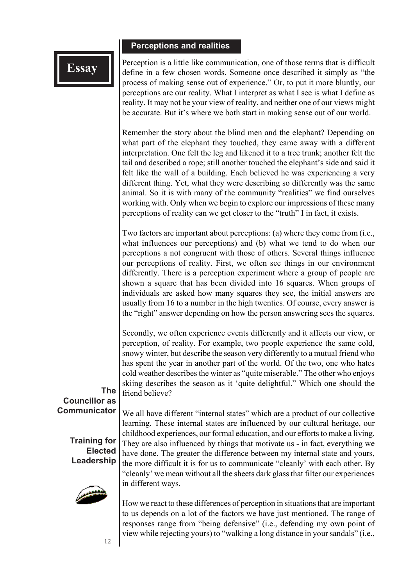### **Perceptions and realities**

## **Essay**

Perception is a little like communication, one of those terms that is difficult define in a few chosen words. Someone once described it simply as "the process of making sense out of experience." Or, to put it more bluntly, our perceptions are our reality. What I interpret as what I see is what I define as reality. It may not be your view of reality, and neither one of our views might be accurate. But it's where we both start in making sense out of our world.

Remember the story about the blind men and the elephant? Depending on what part of the elephant they touched, they came away with a different interpretation. One felt the leg and likened it to a tree trunk; another felt the tail and described a rope; still another touched the elephant's side and said it felt like the wall of a building. Each believed he was experiencing a very different thing. Yet, what they were describing so differently was the same animal. So it is with many of the community "realities" we find ourselves working with. Only when we begin to explore our impressions of these many perceptions of reality can we get closer to the "truth" I in fact, it exists.

Two factors are important about perceptions: (a) where they come from (i.e., what influences our perceptions) and (b) what we tend to do when our perceptions a not congruent with those of others. Several things influence our perceptions of reality. First, we often see things in our environment differently. There is a perception experiment where a group of people are shown a square that has been divided into 16 squares. When groups of individuals are asked how many squares they see, the initial answers are usually from 16 to a number in the high twenties. Of course, every answer is the "right" answer depending on how the person answering sees the squares.

Secondly, we often experience events differently and it affects our view, or perception, of reality. For example, two people experience the same cold, snowy winter, but describe the season very differently to a mutual friend who has spent the year in another part of the world. Of the two, one who hates cold weather describes the winter as "quite miserable." The other who enjoys skiing describes the season as it 'quite delightful." Which one should the friend believe?

### **The Councillor as Communicator**

**Training for Elected Leadership**



We all have different "internal states" which are a product of our collective learning. These internal states are influenced by our cultural heritage, our childhood experiences, our formal education, and our efforts to make a living. They are also influenced by things that motivate us - in fact, everything we have done. The greater the difference between my internal state and yours, the more difficult it is for us to communicate "cleanly' with each other. By "cleanly' we mean without all the sheets dark glass that filter our experiences in different ways.

How we react to these differences of perception in situations that are important to us depends on a lot of the factors we have just mentioned. The range of responses range from "being defensive" (i.e., defending my own point of view while rejecting yours) to "walking a long distance in your sandals" (i.e.,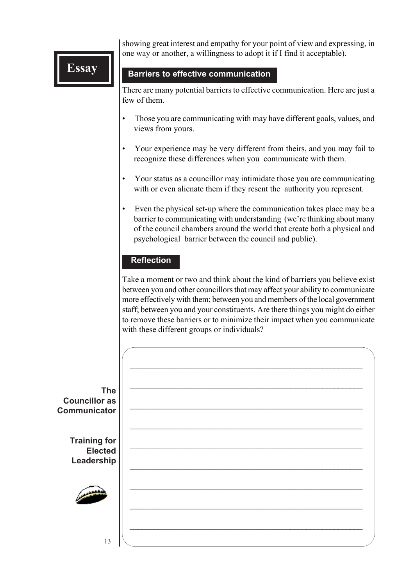showing great interest and empathy for your point of view and expressing, in one way or another, a willingness to adopt it if I find it acceptable).

## **Essay**

### **Barriers to effective communication**

There are many potential barriers to effective communication. Here are just a few of them.

- Those you are communicating with may have different goals, values, and views from yours.
- Your experience may be very different from theirs, and you may fail to recognize these differences when you communicate with them.
- Your status as a councillor may intimidate those you are communicating with or even alienate them if they resent the authority you represent.
- Even the physical set-up where the communication takes place may be a barrier to communicating with understanding (we're thinking about many of the council chambers around the world that create both a physical and psychological barrier between the council and public).

### **Reflection**

Take a moment or two and think about the kind of barriers you believe exist between you and other councillors that may affect your ability to communicate more effectively with them; between you and members of the local government staff; between you and your constituents. Are there things you might do either to remove these barriers or to minimize their impact when you communicate with these different groups or individuals?

| <b>The</b><br><b>Councillor as</b><br>Communicator  |  |
|-----------------------------------------------------|--|
| <b>Training for</b><br><b>Elected</b><br>Leadership |  |
|                                                     |  |
| 13                                                  |  |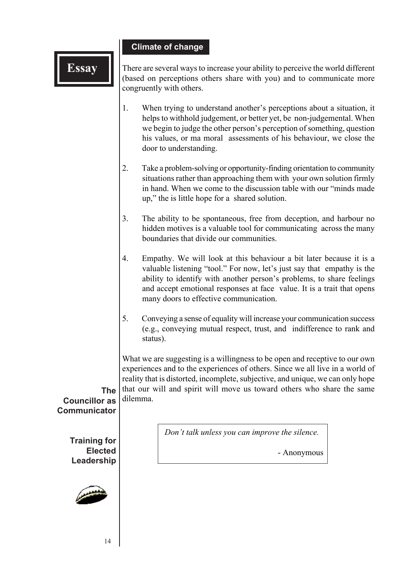### **Climate of change**

**Essay**

There are several ways to increase your ability to perceive the world different (based on perceptions others share with you) and to communicate more congruently with others.

- 1. When trying to understand another's perceptions about a situation, it helps to withhold judgement, or better yet, be non-judgemental. When we begin to judge the other person's perception of something, question his values, or ma moral assessments of his behaviour, we close the door to understanding.
- 2. Take a problem-solving or opportunity-finding orientation to community situations rather than approaching them with your own solution firmly in hand. When we come to the discussion table with our "minds made up," the is little hope for a shared solution.
- 3. The ability to be spontaneous, free from deception, and harbour no hidden motives is a valuable tool for communicating across the many boundaries that divide our communities.
- 4. Empathy. We will look at this behaviour a bit later because it is a valuable listening "tool." For now, let's just say that empathy is the ability to identify with another person's problems, to share feelings and accept emotional responses at face value. It is a trait that opens many doors to effective communication.
- 5. Conveying a sense of equality will increase your communication success (e.g., conveying mutual respect, trust, and indifference to rank and status).

What we are suggesting is a willingness to be open and receptive to our own experiences and to the experiences of others. Since we all live in a world of reality that is distorted, incomplete, subjective, and unique, we can only hope that our will and spirit will move us toward others who share the same dilemma.

**The Councillor as Communicator**

> **Training for Elected Leadership**



*Don't talk unless you can improve the silence.*

- Anonymous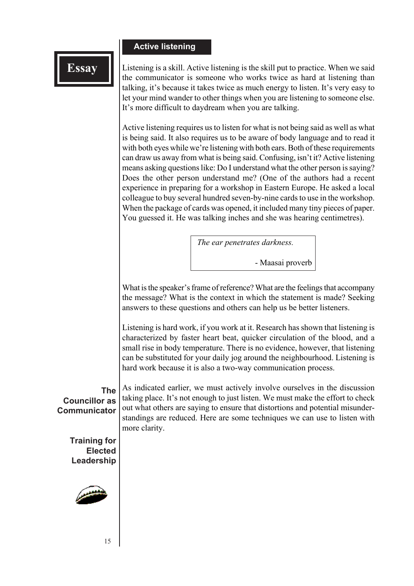### **Active listening**

### **Essay**

Listening is a skill. Active listening is the skill put to practice. When we said the communicator is someone who works twice as hard at listening than talking, it's because it takes twice as much energy to listen. It's very easy to let your mind wander to other things when you are listening to someone else. It's more difficult to daydream when you are talking.

Active listening requires us to listen for what is not being said as well as what is being said. It also requires us to be aware of body language and to read it with both eyes while we're listening with both ears. Both of these requirements can draw us away from what is being said. Confusing, isn't it? Active listening means asking questions like: Do I understand what the other person is saying? Does the other person understand me? (One of the authors had a recent experience in preparing for a workshop in Eastern Europe. He asked a local colleague to buy several hundred seven-by-nine cards to use in the workshop. When the package of cards was opened, it included many tiny pieces of paper. You guessed it. He was talking inches and she was hearing centimetres).

*The ear penetrates darkness.*

- Maasai proverb

What is the speaker's frame of reference? What are the feelings that accompany the message? What is the context in which the statement is made? Seeking answers to these questions and others can help us be better listeners.

Listening is hard work, if you work at it. Research has shown that listening is characterized by faster heart beat, quicker circulation of the blood, and a small rise in body temperature. There is no evidence, however, that listening can be substituted for your daily jog around the neighbourhood. Listening is hard work because it is also a two-way communication process.

**The Councillor as Communicator**

As indicated earlier, we must actively involve ourselves in the discussion taking place. It's not enough to just listen. We must make the effort to check out what others are saying to ensure that distortions and potential misunderstandings are reduced. Here are some techniques we can use to listen with more clarity.

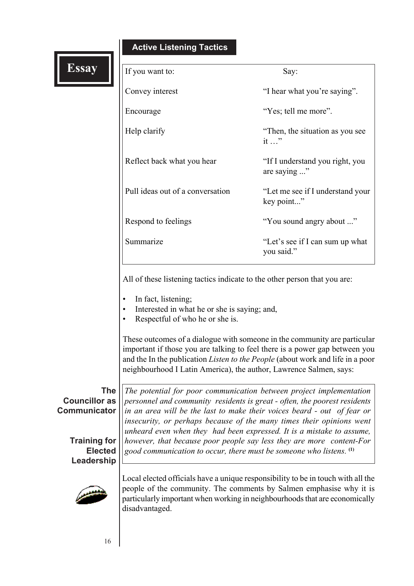### **Active Listening Tactics**

### **Essay**

| If you want to:                  | Say:                                             |
|----------------------------------|--------------------------------------------------|
| Convey interest                  | "I hear what you're saying".                     |
| Encourage                        | "Yes; tell me more".                             |
| Help clarify                     | "Then, the situation as you see<br>it $\cdots$ " |
| Reflect back what you hear       | "If I understand you right, you<br>are saying "  |
| Pull ideas out of a conversation | "Let me see if I understand your<br>key point"   |
| Respond to feelings              | "You sound angry about "                         |
| Summarize                        | "Let's see if I can sum up what<br>you said."    |
|                                  |                                                  |

All of these listening tactics indicate to the other person that you are:

- In fact, listening;
- Interested in what he or she is saying; and,
- Respectful of who he or she is.

These outcomes of a dialogue with someone in the community are particular important if those you are talking to feel there is a power gap between you and the In the publication *Listen to the People* (about work and life in a poor neighbourhood I Latin America), the author, Lawrence Salmen, says:

**The Councillor as Communicator**

> **Training for Elected Leadership**



*The potential for poor communication between project implementation personnel and community residents is great - often, the poorest residents in an area will be the last to make their voices beard - out of fear or insecurity, or perhaps because of the many times their opinions went unheard even when they had been expressed. It is a mistake to assume, however, that because poor people say less they are more content-For good communication to occur, there must be someone who listens.* **(1)**

Local elected officials have a unique responsibility to be in touch with all the people of the community. The comments by Salmen emphasise why it is particularly important when working in neighbourhoods that are economically disadvantaged.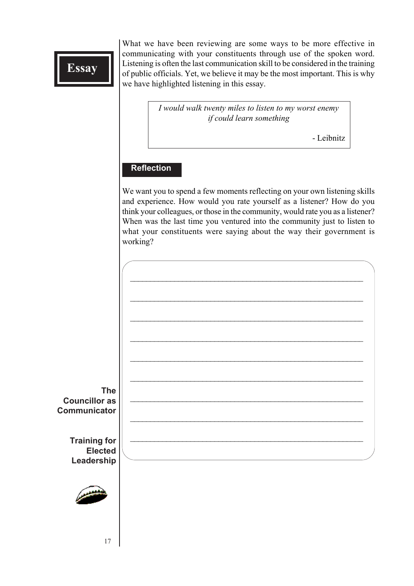# **Essay**

What we have been reviewing are some ways to be more effective in communicating with your constituents through use of the spoken word. Listening is often the last communication skill to be considered in the training of public officials. Yet, we believe it may be the most important. This is why we have highlighted listening in this essay.

> *I would walk twenty miles to listen to my worst enemy if could learn something*

> > - Leibnitz

### **Reflection**

We want you to spend a few moments reflecting on your own listening skills and experience. How would you rate yourself as a listener? How do you think your colleagues, or those in the community, would rate you as a listener? When was the last time you ventured into the community just to listen to what your constituents were saying about the way their government is working?

| <b>The</b>                           |  |  |
|--------------------------------------|--|--|
| <b>Councillor as</b><br>Communicator |  |  |
|                                      |  |  |
|                                      |  |  |
| <b>Training for</b>                  |  |  |
| <b>Elected</b>                       |  |  |
| Leadership                           |  |  |
|                                      |  |  |
|                                      |  |  |
|                                      |  |  |
|                                      |  |  |
| 17                                   |  |  |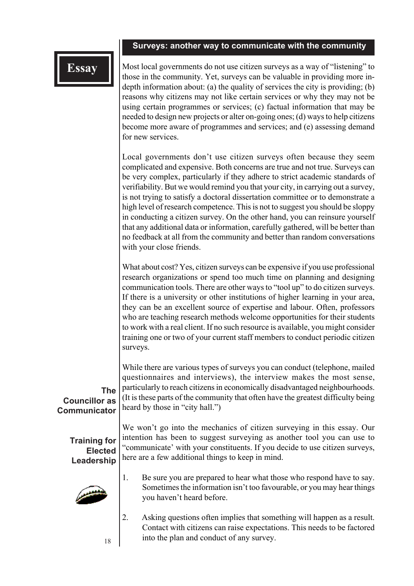### **Surveys: another way to communicate with the community**

**Essay** Most local governments do not use citizen surveys as a way of "listening" to those in the community. Yet, surveys can be valuable in providing more indepth information about: (a) the quality of services the city is providing; (b) reasons why citizens may not like certain services or why they may not be using certain programmes or services; (c) factual information that may be needed to design new projects or alter on-going ones; (d) ways to help citizens become more aware of programmes and services; and (e) assessing demand for new services.

> Local governments don't use citizen surveys often because they seem complicated and expensive. Both concerns are true and not true. Surveys can be very complex, particularly if they adhere to strict academic standards of verifiability. But we would remind you that your city, in carrying out a survey, is not trying to satisfy a doctoral dissertation committee or to demonstrate a high level of research competence. This is not to suggest you should be sloppy in conducting a citizen survey. On the other hand, you can reinsure yourself that any additional data or information, carefully gathered, will be better than no feedback at all from the community and better than random conversations with your close friends.

> What about cost? Yes, citizen surveys can be expensive if you use professional research organizations or spend too much time on planning and designing communication tools. There are other ways to "tool up" to do citizen surveys. If there is a university or other institutions of higher learning in your area, they can be an excellent source of expertise and labour. Often, professors who are teaching research methods welcome opportunities for their students to work with a real client. If no such resource is available, you might consider training one or two of your current staff members to conduct periodic citizen surveys.

> While there are various types of surveys you can conduct (telephone, mailed questionnaires and interviews), the interview makes the most sense, particularly to reach citizens in economically disadvantaged neighbourhoods. (It is these parts of the community that often have the greatest difficulty being heard by those in "city hall.")

**The Councillor as Communicator**

> **Training for Elected Leadership**

We won't go into the mechanics of citizen surveying in this essay. Our intention has been to suggest surveying as another tool you can use to "communicate' with your constituents. If you decide to use citizen surveys, here are a few additional things to keep in mind.



- 1. Be sure you are prepared to hear what those who respond have to say. Sometimes the information isn't too favourable, or you may hear things you haven't heard before.
- 2. Asking questions often implies that something will happen as a result. Contact with citizens can raise expectations. This needs to be factored into the plan and conduct of any survey.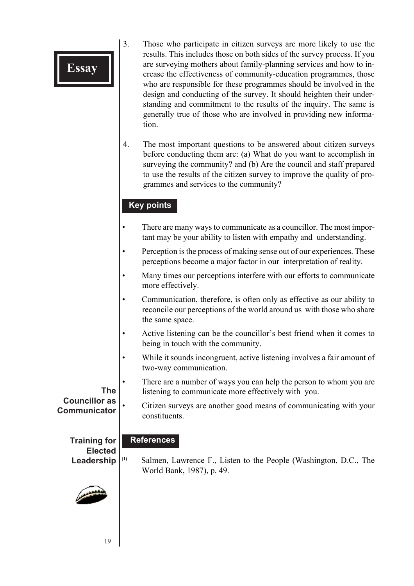| Essay                                 | 3 <sub>1</sub> | Those who participate in citizen surveys are more likely to use the<br>results. This includes those on both sides of the survey process. If you<br>are surveying mothers about family-planning services and how to in-<br>crease the effectiveness of community-education programmes, those<br>who are responsible for these programmes should be involved in the<br>design and conducting of the survey. It should heighten their under-<br>standing and commitment to the results of the inquiry. The same is<br>generally true of those who are involved in providing new informa-<br>tion. |
|---------------------------------------|----------------|------------------------------------------------------------------------------------------------------------------------------------------------------------------------------------------------------------------------------------------------------------------------------------------------------------------------------------------------------------------------------------------------------------------------------------------------------------------------------------------------------------------------------------------------------------------------------------------------|
|                                       | 4.             | The most important questions to be answered about citizen surveys<br>before conducting them are: (a) What do you want to accomplish in<br>surveying the community? and (b) Are the council and staff prepared<br>to use the results of the citizen survey to improve the quality of pro-<br>grammes and services to the community?                                                                                                                                                                                                                                                             |
|                                       |                | <b>Key points</b>                                                                                                                                                                                                                                                                                                                                                                                                                                                                                                                                                                              |
|                                       |                | There are many ways to communicate as a councillor. The most impor-<br>tant may be your ability to listen with empathy and understanding.                                                                                                                                                                                                                                                                                                                                                                                                                                                      |
|                                       |                | Perception is the process of making sense out of our experiences. These<br>perceptions become a major factor in our interpretation of reality.                                                                                                                                                                                                                                                                                                                                                                                                                                                 |
|                                       |                | Many times our perceptions interfere with our efforts to communicate<br>more effectively.                                                                                                                                                                                                                                                                                                                                                                                                                                                                                                      |
|                                       |                | Communication, therefore, is often only as effective as our ability to<br>reconcile our perceptions of the world around us with those who share<br>the same space.                                                                                                                                                                                                                                                                                                                                                                                                                             |
|                                       |                | Active listening can be the councillor's best friend when it comes to<br>being in touch with the community.                                                                                                                                                                                                                                                                                                                                                                                                                                                                                    |
|                                       |                | While it sounds incongruent, active listening involves a fair amount of<br>two-way communication.                                                                                                                                                                                                                                                                                                                                                                                                                                                                                              |
| <b>The</b>                            |                | There are a number of ways you can help the person to whom you are<br>listening to communicate more effectively with you.                                                                                                                                                                                                                                                                                                                                                                                                                                                                      |
| <b>Councillor as</b><br>Communicator  |                | Citizen surveys are another good means of communicating with your<br>constituents.                                                                                                                                                                                                                                                                                                                                                                                                                                                                                                             |
| <b>Training for</b><br><b>Elected</b> |                | <b>References</b>                                                                                                                                                                                                                                                                                                                                                                                                                                                                                                                                                                              |
| Leadership                            | (1)            | Salmen, Lawrence F., Listen to the People (Washington, D.C., The<br>World Bank, 1987), p. 49.                                                                                                                                                                                                                                                                                                                                                                                                                                                                                                  |
|                                       |                |                                                                                                                                                                                                                                                                                                                                                                                                                                                                                                                                                                                                |
| 19                                    |                |                                                                                                                                                                                                                                                                                                                                                                                                                                                                                                                                                                                                |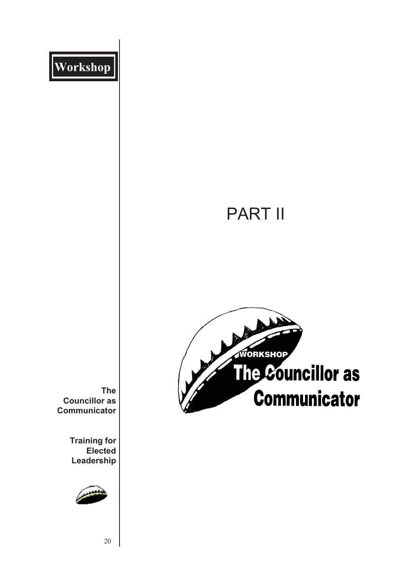# PART II



**The Councillor as Communicator**

> **Training for Elected Leadership**



20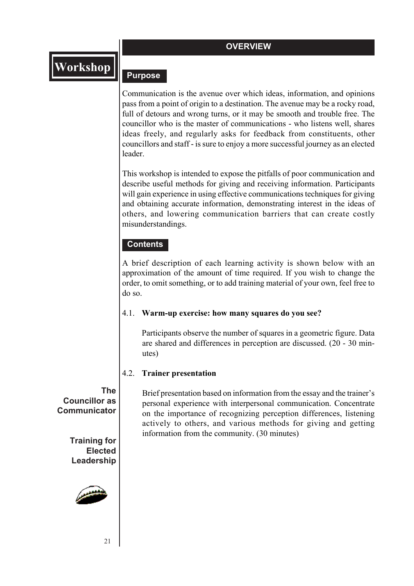### **Purpose**

Communication is the avenue over which ideas, information, and opinions pass from a point of origin to a destination. The avenue may be a rocky road, full of detours and wrong turns, or it may be smooth and trouble free. The councillor who is the master of communications - who listens well, shares ideas freely, and regularly asks for feedback from constituents, other councillors and staff - is sure to enjoy a more successful journey as an elected leader.

This workshop is intended to expose the pitfalls of poor communication and describe useful methods for giving and receiving information. Participants will gain experience in using effective communications techniques for giving and obtaining accurate information, demonstrating interest in the ideas of others, and lowering communication barriers that can create costly misunderstandings.

### **Contents**

A brief description of each learning activity is shown below with an approximation of the amount of time required. If you wish to change the order, to omit something, or to add training material of your own, feel free to do so.

### 4.1. **Warm-up exercise: how many squares do you see?**

Participants observe the number of squares in a geometric figure. Data are shared and differences in perception are discussed. (20 - 30 minutes)

### 4.2. **Trainer presentation**

**The Councillor as Communicator**

personal experience with interpersonal communication. Concentrate on the importance of recognizing perception differences, listening actively to others, and various methods for giving and getting information from the community. (30 minutes)

Brief presentation based on information from the essay and the trainer's

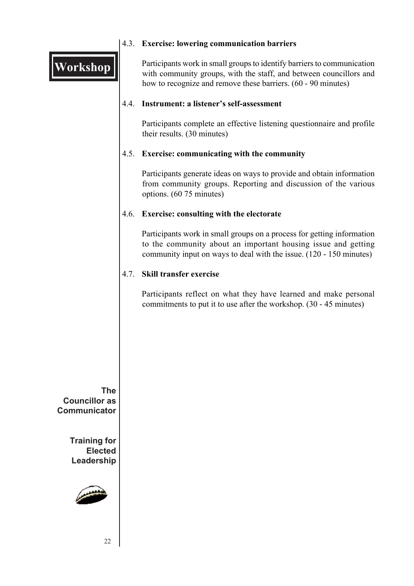### 4.3. **Exercise: lowering communication barriers**

Participants work in small groups to identify barriers to communication with community groups, with the staff, and between councillors and how to recognize and remove these barriers.  $(60 - 90 \text{ minutes})$ 

### 4.4. **Instrument: a listener's self-assessment**

Participants complete an effective listening questionnaire and profile their results. (30 minutes)

### 4.5. **Exercise: communicating with the community**

Participants generate ideas on ways to provide and obtain information from community groups. Reporting and discussion of the various options. (60 75 minutes)

### 4.6. **Exercise: consulting with the electorate**

Participants work in small groups on a process for getting information to the community about an important housing issue and getting community input on ways to deal with the issue. (120 - 150 minutes)

### 4.7. **Skill transfer exercise**

Participants reflect on what they have learned and make personal commitments to put it to use after the workshop. (30 - 45 minutes)

**The Councillor as Communicator**

**Workshop**

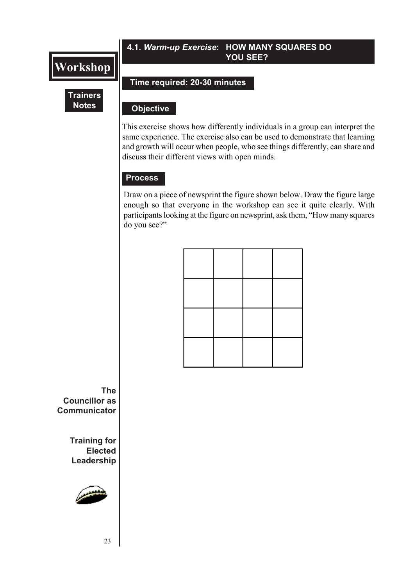### **4.1.** *Warm-up Exercise***: HOW MANY SQUARES DO YOU SEE?**

### **Trainers Notes**

### **Time required: 20-30 minutes**

### **Objective**

This exercise shows how differently individuals in a group can interpret the same experience. The exercise also can be used to demonstrate that learning and growth will occur when people, who see things differently, can share and discuss their different views with open minds.

### **Process**

Draw on a piece of newsprint the figure shown below. Draw the figure large enough so that everyone in the workshop can see it quite clearly. With participants looking at the figure on newsprint, ask them, "How many squares do you see?"

**The Councillor as Communicator**

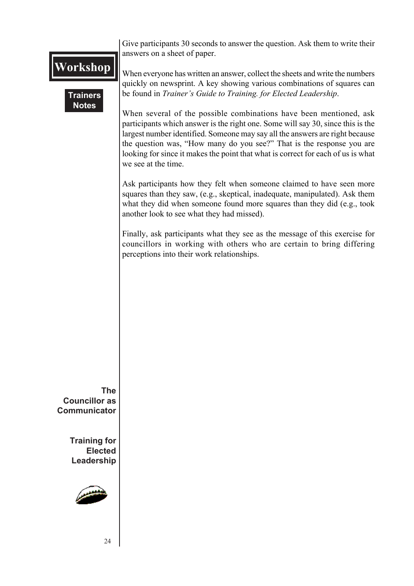### **Trainers Notes**

Give participants 30 seconds to answer the question. Ask them to write their answers on a sheet of paper.

When everyone has written an answer, collect the sheets and write the numbers quickly on newsprint. A key showing various combinations of squares can be found in *Trainer's Guide to Training. for Elected Leadership*.

When several of the possible combinations have been mentioned, ask participants which answer is the right one. Some will say 30, since this is the largest number identified. Someone may say all the answers are right because the question was, "How many do you see?" That is the response you are looking for since it makes the point that what is correct for each of us is what we see at the time.

Ask participants how they felt when someone claimed to have seen more squares than they saw, (e.g., skeptical, inadequate, manipulated). Ask them what they did when someone found more squares than they did (e.g., took another look to see what they had missed).

Finally, ask participants what they see as the message of this exercise for councillors in working with others who are certain to bring differing perceptions into their work relationships.

**The Councillor as Communicator**

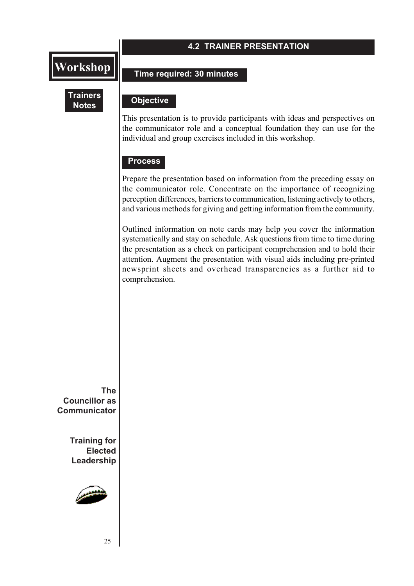### **4.2 TRAINER PRESENTATION**

### **Time required: 30 minutes**

### **Trainers Notes Objective**

This presentation is to provide participants with ideas and perspectives on the communicator role and a conceptual foundation they can use for the individual and group exercises included in this workshop.

### **Process**

Prepare the presentation based on information from the preceding essay on the communicator role. Concentrate on the importance of recognizing perception differences, barriers to communication, listening actively to others, and various methods for giving and getting information from the community.

Outlined information on note cards may help you cover the information systematically and stay on schedule. Ask questions from time to time during the presentation as a check on participant comprehension and to hold their attention. Augment the presentation with visual aids including pre-printed newsprint sheets and overhead transparencies as a further aid to comprehension.

**The Councillor as Communicator**

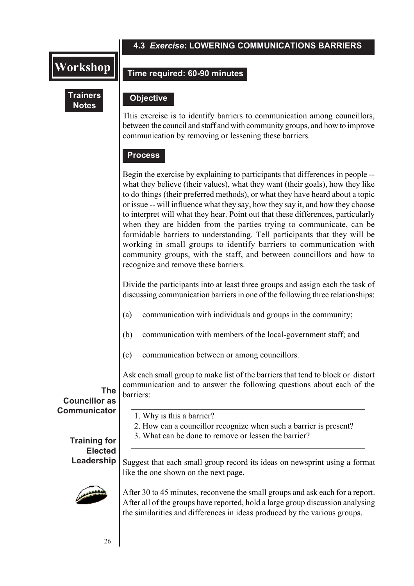**Trainers**

### **4.3** *Exercise***: LOWERING COMMUNICATIONS BARRIERS**

### **Time required: 60-90 minutes**

## **Notes Objective**

This exercise is to identify barriers to communication among councillors, between the council and staff and with community groups, and how to improve communication by removing or lessening these barriers.

### **Process**

Begin the exercise by explaining to participants that differences in people - what they believe (their values), what they want (their goals), how they like to do things (their preferred methods), or what they have heard about a topic or issue -- will influence what they say, how they say it, and how they choose to interpret will what they hear. Point out that these differences, particularly when they are hidden from the parties trying to communicate, can be formidable barriers to understanding. Tell participants that they will be working in small groups to identify barriers to communication with community groups, with the staff, and between councillors and how to recognize and remove these barriers.

Divide the participants into at least three groups and assign each the task of discussing communication barriers in one of the following three relationships:

- (a) communication with individuals and groups in the community;
- (b) communication with members of the local-government staff; and
- (c) communication between or among councillors.

1. Why is this a barrier?

Ask each small group to make list of the barriers that tend to block or distort communication and to answer the following questions about each of the barriers:

2. How can a councillor recognize when such a barrier is present?

3. What can be done to remove or lessen the barrier?

### **The Councillor as Communicator**

**Training for Elected Leadership**



Suggest that each small group record its ideas on newsprint using a format like the one shown on the next page.

After 30 to 45 minutes, reconvene the small groups and ask each for a report. After all of the groups have reported, hold a large group discussion analysing the similarities and differences in ideas produced by the various groups.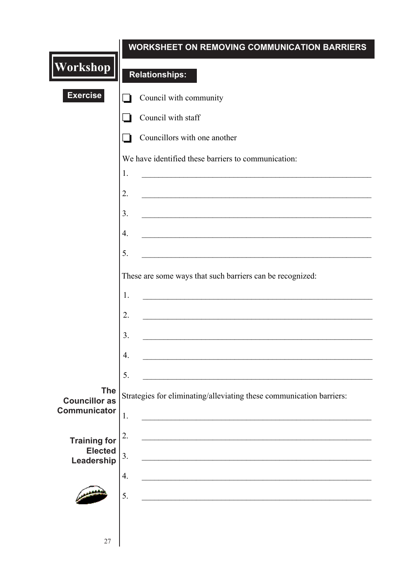|                                    | <b>WORKSHEET ON REMOVING COMMUNICATION BARRIERS</b>                                                                         |  |  |  |  |
|------------------------------------|-----------------------------------------------------------------------------------------------------------------------------|--|--|--|--|
| Workshop                           | <b>Relationships:</b>                                                                                                       |  |  |  |  |
| <b>Exercise</b>                    | Council with community<br>- 1                                                                                               |  |  |  |  |
|                                    | Council with staff                                                                                                          |  |  |  |  |
|                                    | Councillors with one another<br><b>I</b>                                                                                    |  |  |  |  |
|                                    | We have identified these barriers to communication:                                                                         |  |  |  |  |
|                                    | 1.<br><u> 1989 - Johann John Stone, mars eta bainar eta bainar eta baina eta baina eta baina eta baina eta baina eta b</u>  |  |  |  |  |
|                                    | 2.                                                                                                                          |  |  |  |  |
|                                    | 3.<br><u> 2000 - Jan Barat, margaret eta bainar eta bainaren 1950an eta baina eta baina eta baina eta baina eta baina</u>   |  |  |  |  |
|                                    | 4.<br><u> 1989 - Johann John Stone, mars eta bainar eta baina eta politikaria eta baina eta baina eta baina eta baina </u>  |  |  |  |  |
|                                    | 5.<br><u> 1989 - Johann Barbara, markazar margolaria (h. 1989).</u>                                                         |  |  |  |  |
|                                    | These are some ways that such barriers can be recognized:                                                                   |  |  |  |  |
|                                    | 1.<br><u> 1989 - Johann Stoff, amerikansk politiker (d. 1989)</u>                                                           |  |  |  |  |
|                                    | 2.<br><u> 1989 - Johann Barbara, margaret eta idazlearia (h. 1989).</u>                                                     |  |  |  |  |
|                                    | 3.                                                                                                                          |  |  |  |  |
|                                    | 4.                                                                                                                          |  |  |  |  |
|                                    | 5.                                                                                                                          |  |  |  |  |
| <b>The</b><br><b>Councillor as</b> | Strategies for eliminating/alleviating these communication barriers:                                                        |  |  |  |  |
| <b>Communicator</b>                | 1.                                                                                                                          |  |  |  |  |
| <b>Training for</b>                | 2.                                                                                                                          |  |  |  |  |
| <b>Elected</b><br>Leadership       | 3.<br><u> 1989 - Johann Barn, mars ann an t-Amhain an t-Amhain an t-Amhain an t-Amhain an t-Amhain an t-Amhain an t-Amh</u> |  |  |  |  |
|                                    | 4.                                                                                                                          |  |  |  |  |
|                                    | 5.                                                                                                                          |  |  |  |  |
|                                    |                                                                                                                             |  |  |  |  |
| 27                                 |                                                                                                                             |  |  |  |  |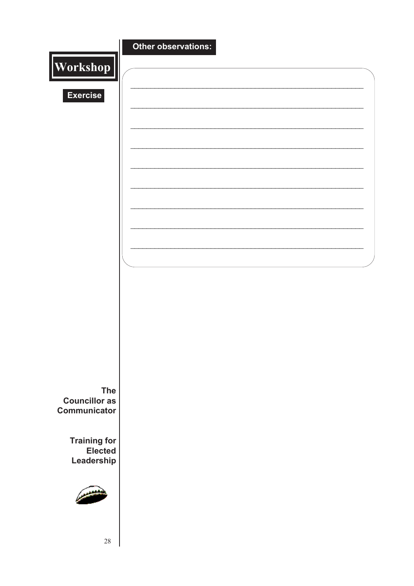|                                      | Other observations: |  |
|--------------------------------------|---------------------|--|
| Workshop                             |                     |  |
| <b>Exercise</b>                      |                     |  |
|                                      |                     |  |
|                                      |                     |  |
|                                      |                     |  |
|                                      |                     |  |
|                                      |                     |  |
|                                      |                     |  |
|                                      |                     |  |
|                                      |                     |  |
|                                      |                     |  |
|                                      |                     |  |
|                                      |                     |  |
| <b>The</b>                           |                     |  |
| <b>Councillor as</b><br>Communicator |                     |  |
| <b>Training for</b>                  |                     |  |
| <b>Elected</b><br>Leadership         |                     |  |
|                                      |                     |  |
|                                      |                     |  |
|                                      |                     |  |
| $28\,$                               |                     |  |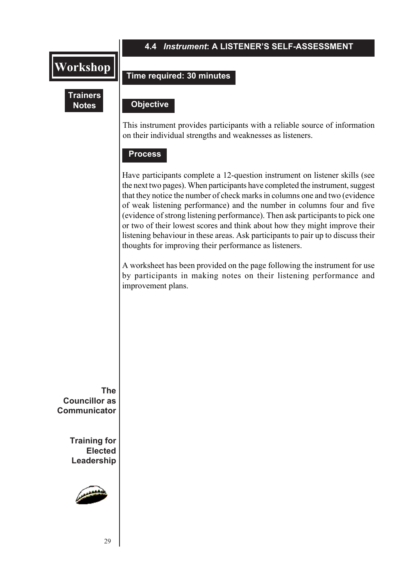**Trainers Notes**

### **4.4** *Instrument***: A LISTENER'S SELF-ASSESSMENT**

### **Time required: 30 minutes**

### **Objective**

This instrument provides participants with a reliable source of information on their individual strengths and weaknesses as listeners.

### **Process**

Have participants complete a 12-question instrument on listener skills (see the next two pages). When participants have completed the instrument, suggest that they notice the number of check marks in columns one and two (evidence of weak listening performance) and the number in columns four and five (evidence of strong listening performance). Then ask participants to pick one or two of their lowest scores and think about how they might improve their listening behaviour in these areas. Ask participants to pair up to discuss their thoughts for improving their performance as listeners.

A worksheet has been provided on the page following the instrument for use by participants in making notes on their listening performance and improvement plans.

**The Councillor as Communicator**

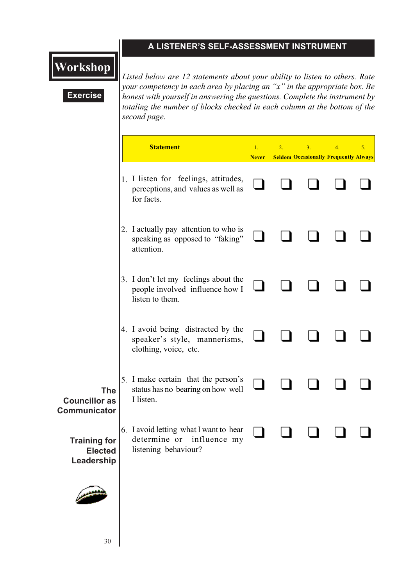### **A LISTENER'S SELF-ASSESSMENT INSTRUMENT**

## **Workshop**

### **Exercise**

*Listed below are 12 statements about your ability to listen to others. Rate your competency in each area by placing an "x" in the appropriate box. Be honest with yourself in answering the questions. Complete the instrument by totaling the number of blocks checked in each column at the bottom of the second page.*

|                                                           | <b>Statement</b>                                                                               | 1.<br><b>Never</b> | 2. | 3.<br><b>Seldom Occasionally Frequently Always</b> | 4. | 5. |
|-----------------------------------------------------------|------------------------------------------------------------------------------------------------|--------------------|----|----------------------------------------------------|----|----|
|                                                           | 1. I listen for feelings, attitudes,<br>perceptions, and values as well as<br>for facts.       |                    |    |                                                    |    |    |
|                                                           | 2. I actually pay attention to who is<br>speaking as opposed to "faking"<br>attention.         |                    |    |                                                    |    |    |
|                                                           | 3. I don't let my feelings about the<br>people involved influence how I<br>listen to them.     |                    |    |                                                    |    |    |
|                                                           | 4. I avoid being distracted by the<br>speaker's style, mannerisms,<br>clothing, voice, etc.    |                    |    |                                                    |    |    |
| <b>The</b><br><b>Councillor as</b><br><b>Communicator</b> | 5. I make certain that the person's<br>status has no bearing on how well<br>I listen.          |                    |    |                                                    |    |    |
| <b>Training for</b><br><b>Elected</b><br>Leadership       | 6. I avoid letting what I want to hear<br>determine or<br>influence my<br>listening behaviour? |                    |    |                                                    |    |    |
|                                                           |                                                                                                |                    |    |                                                    |    |    |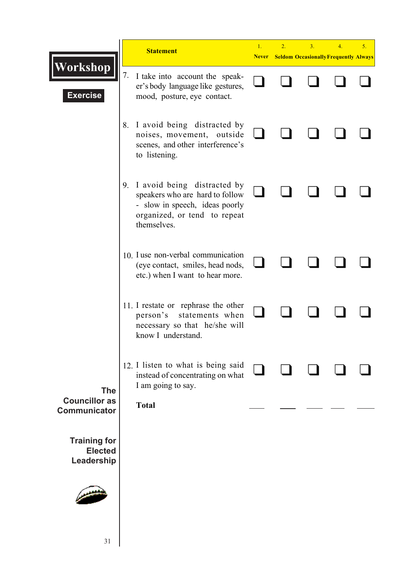|                                                     |    | <b>Statement</b>                                                                                                                                | 1.<br><b>Never</b> | 2. | 3.<br><b>Seldom Occasionally Frequently Always</b> | 4. | 5. |
|-----------------------------------------------------|----|-------------------------------------------------------------------------------------------------------------------------------------------------|--------------------|----|----------------------------------------------------|----|----|
| Vorkshop<br><b>Exercise</b>                         | 7. | I take into account the speak-<br>er's body language like gestures,<br>mood, posture, eye contact.                                              |                    |    |                                                    |    |    |
|                                                     | 8. | I avoid being distracted by<br>noises, movement, outside<br>scenes, and other interference's<br>to listening.                                   |                    |    |                                                    |    |    |
|                                                     | 9. | I avoid being distracted by<br>speakers who are hard to follow<br>- slow in speech, ideas poorly<br>organized, or tend to repeat<br>themselves. |                    |    |                                                    |    |    |
|                                                     |    | 10. I use non-verbal communication<br>(eye contact, smiles, head nods,<br>etc.) when I want to hear more.                                       |                    |    |                                                    |    |    |
|                                                     |    | 11. I restate or rephrase the other<br>person's<br>statements when<br>necessary so that he/she will<br>know I understand.                       |                    |    |                                                    |    |    |
| <b>The</b>                                          |    | 12. I listen to what is being said<br>instead of concentrating on what<br>I am going to say.                                                    |                    |    |                                                    |    |    |
| <b>Councillor as</b><br><b>Communicator</b>         |    | <b>Total</b>                                                                                                                                    |                    |    |                                                    |    |    |
| <b>Training for</b><br><b>Elected</b><br>Leadership |    |                                                                                                                                                 |                    |    |                                                    |    |    |
|                                                     |    |                                                                                                                                                 |                    |    |                                                    |    |    |
| 31                                                  |    |                                                                                                                                                 |                    |    |                                                    |    |    |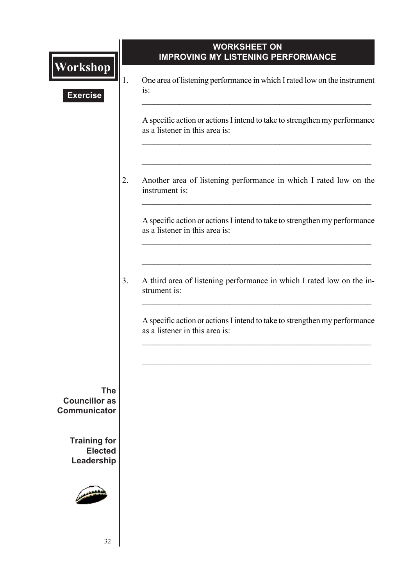## **Exercise**

### **WORKSHEET ON IMPROVING MY LISTENING PERFORMANCE**

1. One area of listening performance in which I rated low on the instrument is:

 $\mathcal{L}_\mathcal{L}$  , and the contribution of the contribution of the contribution of the contribution of the contribution of the contribution of the contribution of the contribution of the contribution of the contribution of

A specific action or actions I intend to take to strengthen my performance as a listener in this area is:

 $\mathcal{L}_\mathcal{L}$  , and the contribution of the contribution of the contribution of the contribution of the contribution of the contribution of the contribution of the contribution of the contribution of the contribution of

 $\mathcal{L}_\mathcal{L}$  , and the contribution of the contribution of the contribution of the contribution of the contribution of the contribution of the contribution of the contribution of the contribution of the contribution of

2. Another area of listening performance in which I rated low on the instrument is:

A specific action or actions I intend to take to strengthen my performance as a listener in this area is:

 $\mathcal{L}_\mathcal{L}$  , and the contribution of the contribution of the contribution of the contribution of the contribution of the contribution of the contribution of the contribution of the contribution of the contribution of

 $\mathcal{L}_\mathcal{L}$  , and the contribution of the contribution of the contribution of the contribution of the contribution of the contribution of the contribution of the contribution of the contribution of the contribution of

 $\mathcal{L}_\text{max}$  and the contract of the contract of the contract of the contract of the contract of the contract of the contract of the contract of the contract of the contract of the contract of the contract of the contrac

3. A third area of listening performance in which I rated low on the instrument is:

A specific action or actions I intend to take to strengthen my performance as a listener in this area is:

 $\mathcal{L}_\mathcal{L}$  , and the contribution of the contribution of the contribution of the contribution of the contribution of the contribution of the contribution of the contribution of the contribution of the contribution of

 $\mathcal{L}_\mathcal{L}$  , and the contribution of the contribution of the contribution of the contribution of the contribution of the contribution of the contribution of the contribution of the contribution of the contribution of

 $\mathcal{L}_\text{max}$  and the contract of the contract of the contract of the contract of the contract of the contract of the contract of the contract of the contract of the contract of the contract of the contract of the contrac

**The Councillor as Communicator**

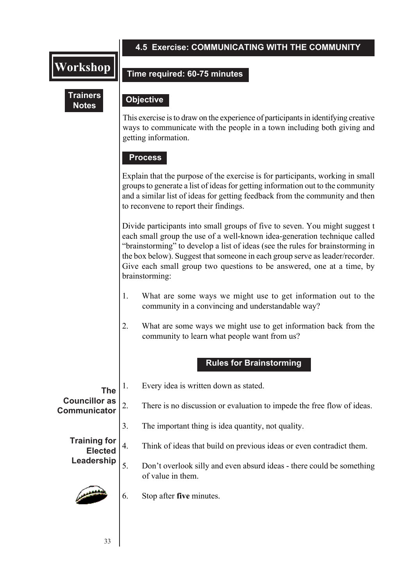**Trainers Notes**

### **4.5 Exercise: COMMUNICATING WITH THE COMMUNITY**

### **Time required: 60-75 minutes**

### **Objective**

This exercise is to draw on the experience of participants in identifying creative ways to communicate with the people in a town including both giving and getting information.

### **Process**

Explain that the purpose of the exercise is for participants, working in small groups to generate a list of ideas for getting information out to the community and a similar list of ideas for getting feedback from the community and then to reconvene to report their findings.

Divide participants into small groups of five to seven. You might suggest t each small group the use of a well-known idea-generation technique called "brainstorming" to develop a list of ideas (see the rules for brainstorming in the box below). Suggest that someone in each group serve as leader/recorder. Give each small group two questions to be answered, one at a time, by brainstorming:

- 1. What are some ways we might use to get information out to the community in a convincing and understandable way?
- 2. What are some ways we might use to get information back from the community to learn what people want from us?

### **Rules for Brainstorming**

- 1. Every idea is written down as stated.
- 2. There is no discussion or evaluation to impede the free flow of ideas.
- 3. The important thing is idea quantity, not quality.
- 4. Think of ideas that build on previous ideas or even contradict them.
- 5. Don't overlook silly and even absurd ideas there could be something of value in them.



**Training for Elected Leadership**

**Councillor as Communicator**

**The**

6. Stop after **five** minutes.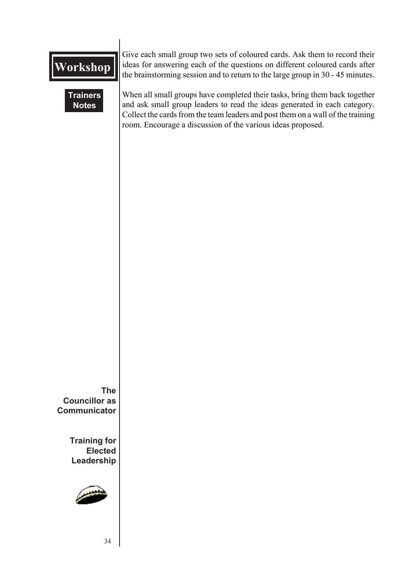**Trainers Notes**

Give each small group two sets of coloured cards. Ask them to record their ideas for answering each of the questions on different coloured cards after the brainstorming session and to return to the large group in 30 - 45 minutes.

When all small groups have completed their tasks, bring them back together and ask small group leaders to read the ideas generated in each category. Collect the cards from the team leaders and post them on a wall of the training room. Encourage a discussion of the various ideas proposed.

**The Councillor as Communicator**

> **Training for Elected Leadership**



34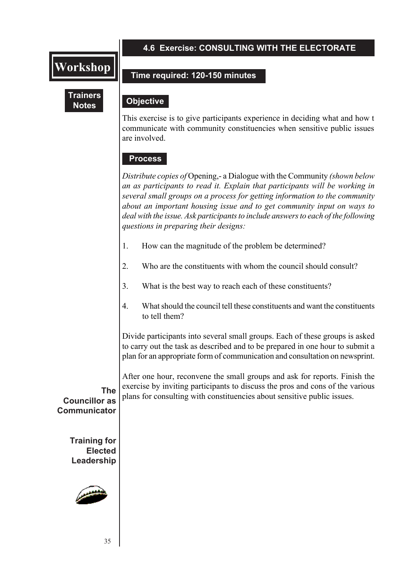**Trainers**

## **4.6 Exercise: CONSULTING WITH THE ELECTORATE**

### **Time required: 120-150 minutes**

## **Notes Diective**

This exercise is to give participants experience in deciding what and how t communicate with community constituencies when sensitive public issues are involved.

### **Process**

*Distribute copies of* Opening,- a Dialogue with the Community *(shown below an as participants to read it. Explain that participants will be working in several small groups on a process for getting information to the community about an important housing issue and to get community input on ways to deal with the issue. Ask participants to include answers to each of the following questions in preparing their designs:*

- 1. How can the magnitude of the problem be determined?
- 2. Who are the constituents with whom the council should consult?
- 3. What is the best way to reach each of these constituents?
- 4. What should the council tell these constituents and want the constituents to tell them?

Divide participants into several small groups. Each of these groups is asked to carry out the task as described and to be prepared in one hour to submit a plan for an appropriate form of communication and consultation on newsprint.

After one hour, reconvene the small groups and ask for reports. Finish the exercise by inviting participants to discuss the pros and cons of the various plans for consulting with constituencies about sensitive public issues.

**The Councillor as Communicator**

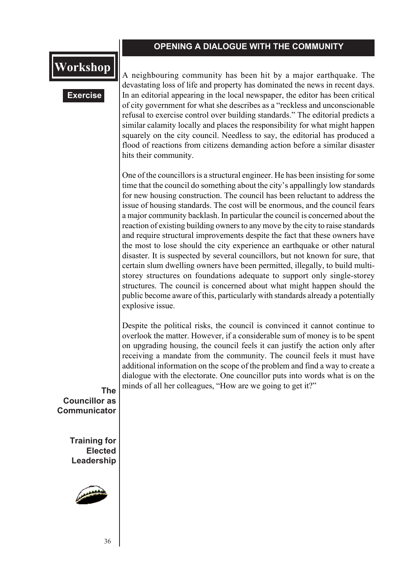### **Exercise**

### **OPENING A DIALOGUE WITH THE COMMUNITY**

A neighbouring community has been hit by a major earthquake. The devastating loss of life and property has dominated the news in recent days. In an editorial appearing in the local newspaper, the editor has been critical of city government for what she describes as a "reckless and unconscionable refusal to exercise control over building standards." The editorial predicts a similar calamity locally and places the responsibility for what might happen squarely on the city council. Needless to say, the editorial has produced a flood of reactions from citizens demanding action before a similar disaster hits their community.

One of the councillors is a structural engineer. He has been insisting for some time that the council do something about the city's appallingly low standards for new housing construction. The council has been reluctant to address the issue of housing standards. The cost will be enormous, and the council fears a major community backlash. In particular the council is concerned about the reaction of existing building owners to any move by the city to raise standards and require structural improvements despite the fact that these owners have the most to lose should the city experience an earthquake or other natural disaster. It is suspected by several councillors, but not known for sure, that certain slum dwelling owners have been permitted, illegally, to build multistorey structures on foundations adequate to support only single-storey structures. The council is concerned about what might happen should the public become aware of this, particularly with standards already a potentially explosive issue.

Despite the political risks, the council is convinced it cannot continue to overlook the matter. However, if a considerable sum of money is to be spent on upgrading housing, the council feels it can justify the action only after receiving a mandate from the community. The council feels it must have additional information on the scope of the problem and find a way to create a dialogue with the electorate. One councillor puts into words what is on the minds of all her colleagues, "How are we going to get it?"

**The Councillor as Communicator**

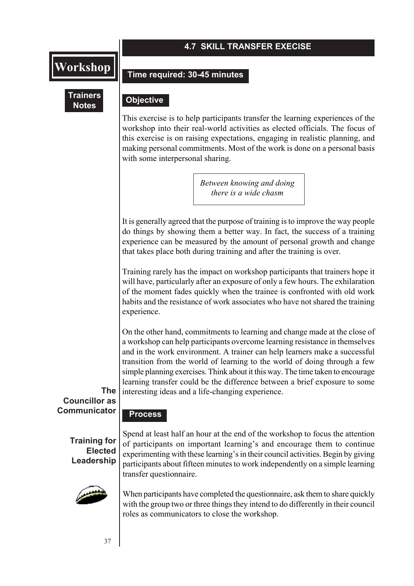### **4.7 SKILL TRANSFER EXECISE**

## **Workshop**

### **Trainers Notes Objective**

**Time required: 30-45 minutes**

This exercise is to help participants transfer the learning experiences of the workshop into their real-world activities as elected officials. The focus of this exercise is on raising expectations, engaging in realistic planning, and making personal commitments. Most of the work is done on a personal basis with some interpersonal sharing.

> *Between knowing and doing there is a wide chasm*

It is generally agreed that the purpose of training is to improve the way people do things by showing them a better way. In fact, the success of a training experience can be measured by the amount of personal growth and change that takes place both during training and after the training is over.

Training rarely has the impact on workshop participants that trainers hope it will have, particularly after an exposure of only a few hours. The exhilaration of the moment fades quickly when the trainee is confronted with old work habits and the resistance of work associates who have not shared the training experience.

On the other hand, commitments to learning and change made at the close of a workshop can help participants overcome learning resistance in themselves and in the work environment. A trainer can help learners make a successful transition from the world of learning to the world of doing through a few simple planning exercises. Think about it this way. The time taken to encourage learning transfer could be the difference between a brief exposure to some interesting ideas and a life-changing experience.

### **The Councillor as Communicator**

### **Process**

**Training for Elected Leadership**

Spend at least half an hour at the end of the workshop to focus the attention of participants on important learning's and encourage them to continue experimenting with these learning's in their council activities. Begin by giving participants about fifteen minutes to work independently on a simple learning transfer questionnaire.



When participants have completed the questionnaire, ask them to share quickly with the group two or three things they intend to do differently in their council roles as communicators to close the workshop.